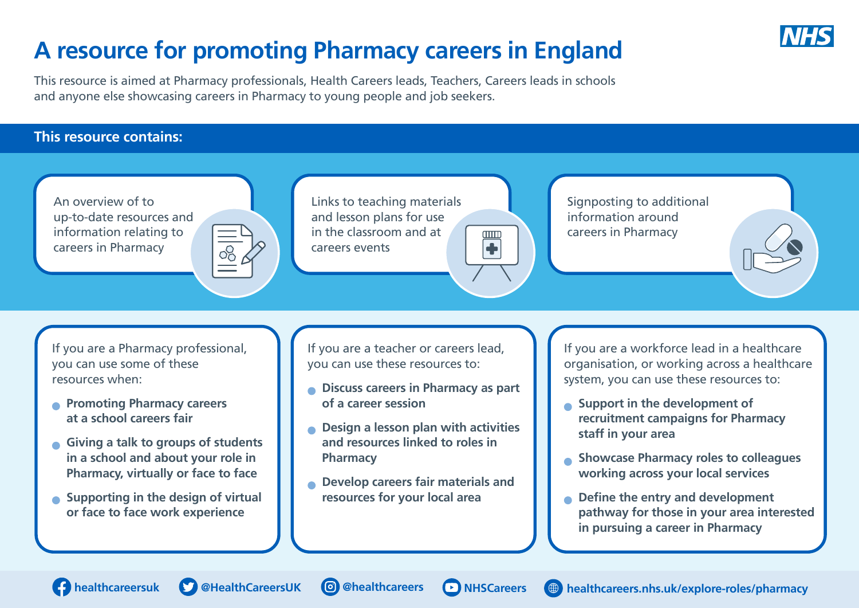

## **A resource for promoting Pharmacy careers in England**

This resource is aimed at Pharmacy professionals, Health Careers leads, Teachers, Careers leads in schools and anyone else showcasing careers in Pharmacy to young people and job seekers.

## **This resource contains:**

An overview of to [Links to teaching materials](https://www.thewowshow.org/teachers/)  Signposting to additional [up-to-date resources and](https://www.healthcareers.nhs.uk/explore-roles/pharmacy)  and lesson plans for use information around information relating to in the classroom and at careers in Pharmacy  $000$  $\blacklozenge$ careers in Pharmacy careers events

If you are a Pharmacy professional, you can use some of these resources when:

- **Promoting Pharmacy careers at a school careers fair**
- **Giving a talk to groups of students in a school and about your role in Pharmacy, virtually or face to face**
- **Supporting in the design of virtual or face to face work experience**

If you are a teacher or careers lead, you can use these resources to:

- **Discuss careers in Pharmacy as part of a career session**
- **Design a lesson plan with activities and resources linked to roles in Pharmacy**
- **Develop careers fair materials and resources for your local area**

If you are a workforce lead in a healthcare organisation, or working across a healthcare system, you can use these resources to:

- **Support in the development of recruitment campaigns for Pharmacy staff in your area**
- **Showcase Pharmacy roles to colleagues working across your local services**
- **Define the entry and development pathway for those in your area interested in pursuing a career in Pharmacy**